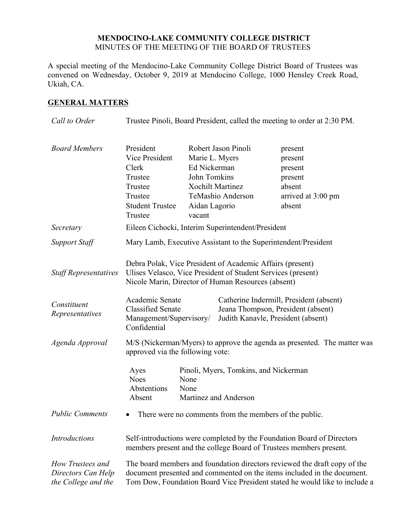## **MENDOCINO-LAKE COMMUNITY COLLEGE DISTRICT** MINUTES OF THE MEETING OF THE BOARD OF TRUSTEES

A special meeting of the Mendocino-Lake Community College District Board of Trustees was convened on Wednesday, October 9, 2019 at Mendocino College, 1000 Hensley Creek Road, Ukiah, CA.

## **GENERAL MATTERS**

| Call to Order                                                                                                                                                                                                        | Trustee Pinoli, Board President, called the meeting to order at 2:30 PM.                                                                                                                                                                                                                                                                                                                         |                                                                                                                                                  |  |                                                                                    |
|----------------------------------------------------------------------------------------------------------------------------------------------------------------------------------------------------------------------|--------------------------------------------------------------------------------------------------------------------------------------------------------------------------------------------------------------------------------------------------------------------------------------------------------------------------------------------------------------------------------------------------|--------------------------------------------------------------------------------------------------------------------------------------------------|--|------------------------------------------------------------------------------------|
| <b>Board Members</b>                                                                                                                                                                                                 | President<br>Vice President<br>Clerk<br>Trustee<br>Trustee<br>Trustee<br><b>Student Trustee</b><br>Trustee                                                                                                                                                                                                                                                                                       | Robert Jason Pinoli<br>Marie L. Myers<br>Ed Nickerman<br>John Tomkins<br><b>Xochilt Martinez</b><br>TeMashio Anderson<br>Aidan Lagorio<br>vacant |  | present<br>present<br>present<br>present<br>absent<br>arrived at 3:00 pm<br>absent |
| Secretary                                                                                                                                                                                                            | Eileen Cichocki, Interim Superintendent/President                                                                                                                                                                                                                                                                                                                                                |                                                                                                                                                  |  |                                                                                    |
| <b>Support Staff</b>                                                                                                                                                                                                 | Mary Lamb, Executive Assistant to the Superintendent/President                                                                                                                                                                                                                                                                                                                                   |                                                                                                                                                  |  |                                                                                    |
| <b>Staff Representatives</b><br>Constituent<br>Representatives                                                                                                                                                       | Debra Polak, Vice President of Academic Affairs (present)<br>Ulises Velasco, Vice President of Student Services (present)<br>Nicole Marin, Director of Human Resources (absent)<br>Academic Senate<br>Catherine Indermill, President (absent)<br><b>Classified Senate</b><br>Jeana Thompson, President (absent)<br>Management/Supervisory/<br>Judith Kanavle, President (absent)<br>Confidential |                                                                                                                                                  |  |                                                                                    |
| Agenda Approval                                                                                                                                                                                                      | M/S (Nickerman/Myers) to approve the agenda as presented. The matter was<br>approved via the following vote:                                                                                                                                                                                                                                                                                     |                                                                                                                                                  |  |                                                                                    |
| Pinoli, Myers, Tomkins, and Nickerman<br>Ayes<br><b>Noes</b><br>None<br>Abstentions<br>None<br>Absent<br>Martinez and Anderson<br><b>Public Comments</b><br>• There were no comments from the members of the public. |                                                                                                                                                                                                                                                                                                                                                                                                  |                                                                                                                                                  |  |                                                                                    |
|                                                                                                                                                                                                                      |                                                                                                                                                                                                                                                                                                                                                                                                  |                                                                                                                                                  |  |                                                                                    |
| <b>Introductions</b>                                                                                                                                                                                                 | Self-introductions were completed by the Foundation Board of Directors<br>members present and the college Board of Trustees members present.                                                                                                                                                                                                                                                     |                                                                                                                                                  |  |                                                                                    |
| How Trustees and<br>Directors Can Help<br>the College and the                                                                                                                                                        | The board members and foundation directors reviewed the draft copy of the<br>document presented and commented on the items included in the document.<br>Tom Dow, Foundation Board Vice President stated he would like to include a                                                                                                                                                               |                                                                                                                                                  |  |                                                                                    |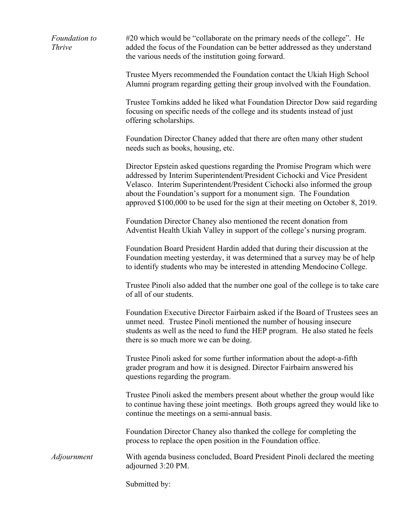*Foundation to Thrive* #20 which would be "collaborate on the primary needs of the college". He added the focus of the Foundation can be better addressed as they understand the various needs of the institution going forward.

> Trustee Myers recommended the Foundation contact the Ukiah High School Alumni program regarding getting their group involved with the Foundation.

Trustee Tomkins added he liked what Foundation Director Dow said regarding focusing on specific needs of the college and its students instead of just offering scholarships.

Foundation Director Chaney added that there are often many other student needs such as books, housing, etc.

Director Epstein asked questions regarding the Promise Program which were addressed by Interim Superintendent/President Cichocki and Vice President Velasco. Interim Superintendent/President Cichocki also informed the group about the Foundation's support for a monument sign. The Foundation approved \$100,000 to be used for the sign at their meeting on October 8, 2019.

Foundation Director Chaney also mentioned the recent donation from Adventist Health Ukiah Valley in support of the college's nursing program.

Foundation Board President Hardin added that during their discussion at the Foundation meeting yesterday, it was determined that a survey may be of help to identify students who may be interested in attending Mendocino College.

Trustee Pinoli also added that the number one goal of the college is to take care of all of our students.

Foundation Executive Director Fairbairn asked if the Board of Trustees sees an unmet need. Trustee Pinoli mentioned the number of housing insecure students as well as the need to fund the HEP program. He also stated he feels there is so much more we can be doing.

Trustee Pinoli asked for some further information about the adopt-a-fifth grader program and how it is designed. Director Fairbairn answered his questions regarding the program.

Trustee Pinoli asked the members present about whether the group would like to continue having these joint meetings. Both groups agreed they would like to continue the meetings on a semi-annual basis.

Foundation Director Chaney also thanked the college for completing the process to replace the open position in the Foundation office.

*Adjournment* With agenda business concluded, Board President Pinoli declared the meeting adjourned 3:20 PM.

Submitted by: